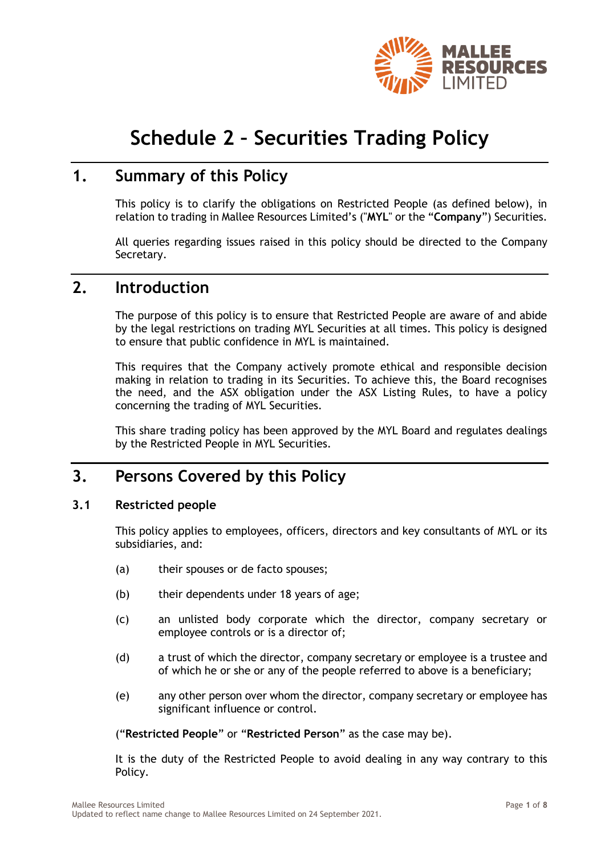

# **Schedule 2 – Securities Trading Policy**

### **1. Summary of this Policy**

This policy is to clarify the obligations on Restricted People (as defined below), in relation to trading in Mallee Resources Limited's ("**MYL**" or the "**Company**") Securities.

All queries regarding issues raised in this policy should be directed to the Company Secretary.

### **2. Introduction**

The purpose of this policy is to ensure that Restricted People are aware of and abide by the legal restrictions on trading MYL Securities at all times. This policy is designed to ensure that public confidence in MYL is maintained.

This requires that the Company actively promote ethical and responsible decision making in relation to trading in its Securities. To achieve this, the Board recognises the need, and the ASX obligation under the ASX Listing Rules, to have a policy concerning the trading of MYL Securities.

This share trading policy has been approved by the MYL Board and regulates dealings by the Restricted People in MYL Securities.

### **3. Persons Covered by this Policy**

#### **3.1 Restricted people**

This policy applies to employees, officers, directors and key consultants of MYL or its subsidiaries, and:

- (a) their spouses or de facto spouses;
- (b) their dependents under 18 years of age;
- (c) an unlisted body corporate which the director, company secretary or employee controls or is a director of;
- (d) a trust of which the director, company secretary or employee is a trustee and of which he or she or any of the people referred to above is a beneficiary;
- (e) any other person over whom the director, company secretary or employee has significant influence or control.

("**Restricted People**" or "**Restricted Person**" as the case may be).

It is the duty of the Restricted People to avoid dealing in any way contrary to this Policy.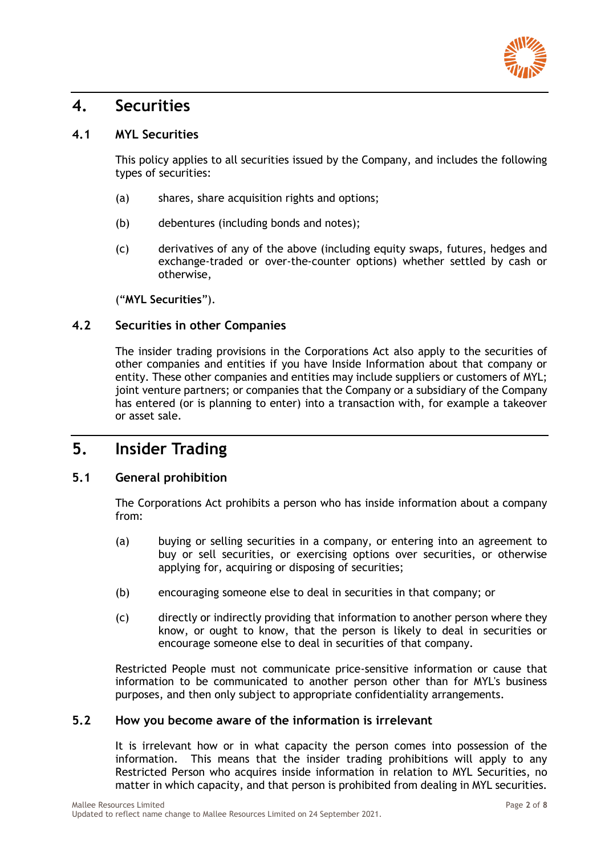

### **4. Securities**

#### **4.1 MYL Securities**

This policy applies to all securities issued by the Company, and includes the following types of securities:

- (a) shares, share acquisition rights and options;
- (b) debentures (including bonds and notes);
- (c) derivatives of any of the above (including equity swaps, futures, hedges and exchange-traded or over-the-counter options) whether settled by cash or otherwise,

("**MYL Securities**").

#### **4.2 Securities in other Companies**

The insider trading provisions in the Corporations Act also apply to the securities of other companies and entities if you have Inside Information about that company or entity. These other companies and entities may include suppliers or customers of MYL; joint venture partners; or companies that the Company or a subsidiary of the Company has entered (or is planning to enter) into a transaction with, for example a takeover or asset sale.

### **5. Insider Trading**

#### **5.1 General prohibition**

The Corporations Act prohibits a person who has inside information about a company from:

- (a) buying or selling securities in a company, or entering into an agreement to buy or sell securities, or exercising options over securities, or otherwise applying for, acquiring or disposing of securities;
- (b) encouraging someone else to deal in securities in that company; or
- (c) directly or indirectly providing that information to another person where they know, or ought to know, that the person is likely to deal in securities or encourage someone else to deal in securities of that company.

Restricted People must not communicate price-sensitive information or cause that information to be communicated to another person other than for MYL's business purposes, and then only subject to appropriate confidentiality arrangements.

#### **5.2 How you become aware of the information is irrelevant**

It is irrelevant how or in what capacity the person comes into possession of the information. This means that the insider trading prohibitions will apply to any Restricted Person who acquires inside information in relation to MYL Securities, no matter in which capacity, and that person is prohibited from dealing in MYL securities.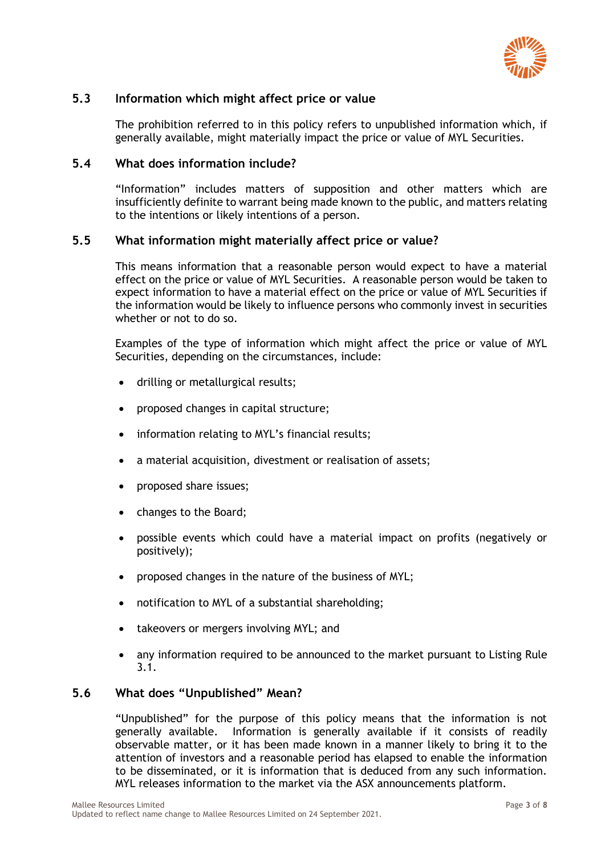

#### **5.3 Information which might affect price or value**

The prohibition referred to in this policy refers to unpublished information which, if generally available, might materially impact the price or value of MYL Securities.

#### **5.4 What does information include?**

"Information" includes matters of supposition and other matters which are insufficiently definite to warrant being made known to the public, and matters relating to the intentions or likely intentions of a person.

#### **5.5 What information might materially affect price or value?**

This means information that a reasonable person would expect to have a material effect on the price or value of MYL Securities. A reasonable person would be taken to expect information to have a material effect on the price or value of MYL Securities if the information would be likely to influence persons who commonly invest in securities whether or not to do so.

Examples of the type of information which might affect the price or value of MYL Securities, depending on the circumstances, include:

- drilling or metallurgical results;
- proposed changes in capital structure;
- information relating to MYL's financial results;
- a material acquisition, divestment or realisation of assets;
- proposed share issues;
- changes to the Board;
- possible events which could have a material impact on profits (negatively or positively);
- proposed changes in the nature of the business of MYL;
- notification to MYL of a substantial shareholding;
- takeovers or mergers involving MYL; and
- any information required to be announced to the market pursuant to Listing Rule 3.1.

#### **5.6 What does "Unpublished" Mean?**

"Unpublished" for the purpose of this policy means that the information is not generally available. Information is generally available if it consists of readily observable matter, or it has been made known in a manner likely to bring it to the attention of investors and a reasonable period has elapsed to enable the information to be disseminated, or it is information that is deduced from any such information. MYL releases information to the market via the ASX announcements platform.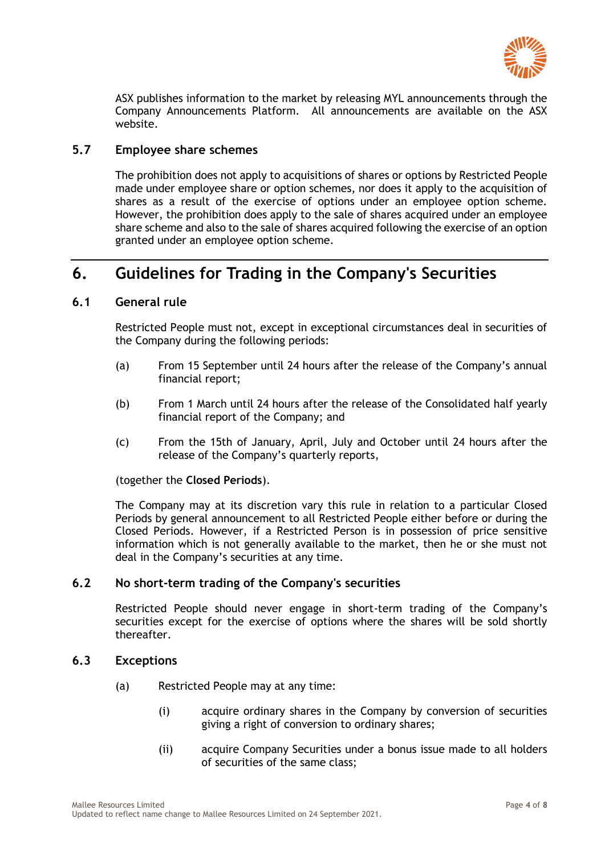

ASX publishes information to the market by releasing MYL announcements through the Company Announcements Platform. All announcements are available on the ASX website.

#### **5.7 Employee share schemes**

The prohibition does not apply to acquisitions of shares or options by Restricted People made under employee share or option schemes, nor does it apply to the acquisition of shares as a result of the exercise of options under an employee option scheme. However, the prohibition does apply to the sale of shares acquired under an employee share scheme and also to the sale of shares acquired following the exercise of an option granted under an employee option scheme.

### **6. Guidelines for Trading in the Company's Securities**

#### **6.1 General rule**

Restricted People must not, except in exceptional circumstances deal in securities of the Company during the following periods:

- (a) From 15 September until 24 hours after the release of the Company's annual financial report;
- (b) From 1 March until 24 hours after the release of the Consolidated half yearly financial report of the Company; and
- (c) From the 15th of January, April, July and October until 24 hours after the release of the Company's quarterly reports,

(together the **Closed Periods**).

The Company may at its discretion vary this rule in relation to a particular Closed Periods by general announcement to all Restricted People either before or during the Closed Periods. However, if a Restricted Person is in possession of price sensitive information which is not generally available to the market, then he or she must not deal in the Company's securities at any time.

#### **6.2 No short-term trading of the Company's securities**

Restricted People should never engage in short-term trading of the Company's securities except for the exercise of options where the shares will be sold shortly thereafter.

#### **6.3 Exceptions**

- (a) Restricted People may at any time:
	- (i) acquire ordinary shares in the Company by conversion of securities giving a right of conversion to ordinary shares;
	- (ii) acquire Company Securities under a bonus issue made to all holders of securities of the same class;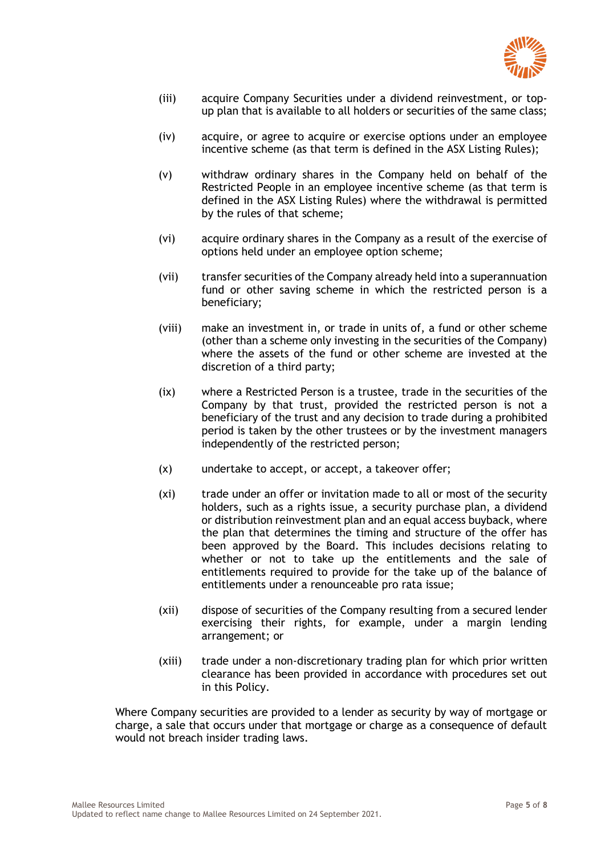

- (iii) acquire Company Securities under a dividend reinvestment, or topup plan that is available to all holders or securities of the same class;
- (iv) acquire, or agree to acquire or exercise options under an employee incentive scheme (as that term is defined in the ASX Listing Rules);
- (v) withdraw ordinary shares in the Company held on behalf of the Restricted People in an employee incentive scheme (as that term is defined in the ASX Listing Rules) where the withdrawal is permitted by the rules of that scheme;
- (vi) acquire ordinary shares in the Company as a result of the exercise of options held under an employee option scheme;
- (vii) transfer securities of the Company already held into a superannuation fund or other saving scheme in which the restricted person is a beneficiary;
- (viii) make an investment in, or trade in units of, a fund or other scheme (other than a scheme only investing in the securities of the Company) where the assets of the fund or other scheme are invested at the discretion of a third party;
- (ix) where a Restricted Person is a trustee, trade in the securities of the Company by that trust, provided the restricted person is not a beneficiary of the trust and any decision to trade during a prohibited period is taken by the other trustees or by the investment managers independently of the restricted person;
- (x) undertake to accept, or accept, a takeover offer;
- (xi) trade under an offer or invitation made to all or most of the security holders, such as a rights issue, a security purchase plan, a dividend or distribution reinvestment plan and an equal access buyback, where the plan that determines the timing and structure of the offer has been approved by the Board. This includes decisions relating to whether or not to take up the entitlements and the sale of entitlements required to provide for the take up of the balance of entitlements under a renounceable pro rata issue;
- (xii) dispose of securities of the Company resulting from a secured lender exercising their rights, for example, under a margin lending arrangement; or
- (xiii) trade under a non-discretionary trading plan for which prior written clearance has been provided in accordance with procedures set out in this Policy.

Where Company securities are provided to a lender as security by way of mortgage or charge, a sale that occurs under that mortgage or charge as a consequence of default would not breach insider trading laws.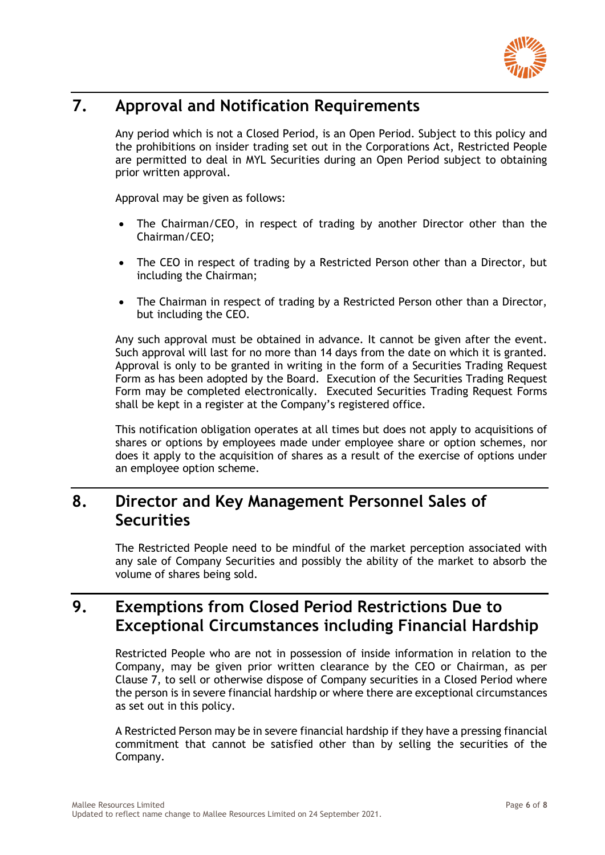

# **7. Approval and Notification Requirements**

Any period which is not a Closed Period, is an Open Period. Subject to this policy and the prohibitions on insider trading set out in the Corporations Act, Restricted People are permitted to deal in MYL Securities during an Open Period subject to obtaining prior written approval.

Approval may be given as follows:

- The Chairman/CEO, in respect of trading by another Director other than the Chairman/CEO;
- The CEO in respect of trading by a Restricted Person other than a Director, but including the Chairman;
- The Chairman in respect of trading by a Restricted Person other than a Director, but including the CEO.

Any such approval must be obtained in advance. It cannot be given after the event. Such approval will last for no more than 14 days from the date on which it is granted. Approval is only to be granted in writing in the form of a Securities Trading Request Form as has been adopted by the Board. Execution of the Securities Trading Request Form may be completed electronically. Executed Securities Trading Request Forms shall be kept in a register at the Company's registered office.

This notification obligation operates at all times but does not apply to acquisitions of shares or options by employees made under employee share or option schemes, nor does it apply to the acquisition of shares as a result of the exercise of options under an employee option scheme.

### **8. Director and Key Management Personnel Sales of Securities**

The Restricted People need to be mindful of the market perception associated with any sale of Company Securities and possibly the ability of the market to absorb the volume of shares being sold.

### **9. Exemptions from Closed Period Restrictions Due to Exceptional Circumstances including Financial Hardship**

Restricted People who are not in possession of inside information in relation to the Company, may be given prior written clearance by the CEO or Chairman, as per Clause 7, to sell or otherwise dispose of Company securities in a Closed Period where the person is in severe financial hardship or where there are exceptional circumstances as set out in this policy.

A Restricted Person may be in severe financial hardship if they have a pressing financial commitment that cannot be satisfied other than by selling the securities of the Company.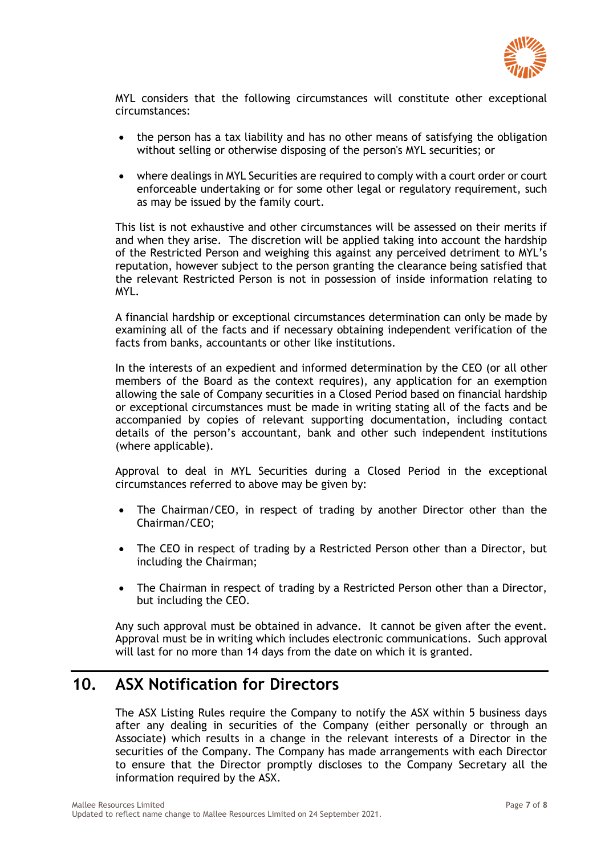

MYL considers that the following circumstances will constitute other exceptional circumstances:

- the person has a tax liability and has no other means of satisfying the obligation without selling or otherwise disposing of the person's MYL securities; or
- where dealings in MYL Securities are required to comply with a court order or court enforceable undertaking or for some other legal or regulatory requirement, such as may be issued by the family court.

This list is not exhaustive and other circumstances will be assessed on their merits if and when they arise. The discretion will be applied taking into account the hardship of the Restricted Person and weighing this against any perceived detriment to MYL's reputation, however subject to the person granting the clearance being satisfied that the relevant Restricted Person is not in possession of inside information relating to MYL.

A financial hardship or exceptional circumstances determination can only be made by examining all of the facts and if necessary obtaining independent verification of the facts from banks, accountants or other like institutions.

In the interests of an expedient and informed determination by the CEO (or all other members of the Board as the context requires), any application for an exemption allowing the sale of Company securities in a Closed Period based on financial hardship or exceptional circumstances must be made in writing stating all of the facts and be accompanied by copies of relevant supporting documentation, including contact details of the person's accountant, bank and other such independent institutions (where applicable).

Approval to deal in MYL Securities during a Closed Period in the exceptional circumstances referred to above may be given by:

- The Chairman/CEO, in respect of trading by another Director other than the Chairman/CEO;
- The CEO in respect of trading by a Restricted Person other than a Director, but including the Chairman;
- The Chairman in respect of trading by a Restricted Person other than a Director, but including the CEO.

Any such approval must be obtained in advance. It cannot be given after the event. Approval must be in writing which includes electronic communications. Such approval will last for no more than 14 days from the date on which it is granted.

### **10. ASX Notification for Directors**

The ASX Listing Rules require the Company to notify the ASX within 5 business days after any dealing in securities of the Company (either personally or through an Associate) which results in a change in the relevant interests of a Director in the securities of the Company. The Company has made arrangements with each Director to ensure that the Director promptly discloses to the Company Secretary all the information required by the ASX.